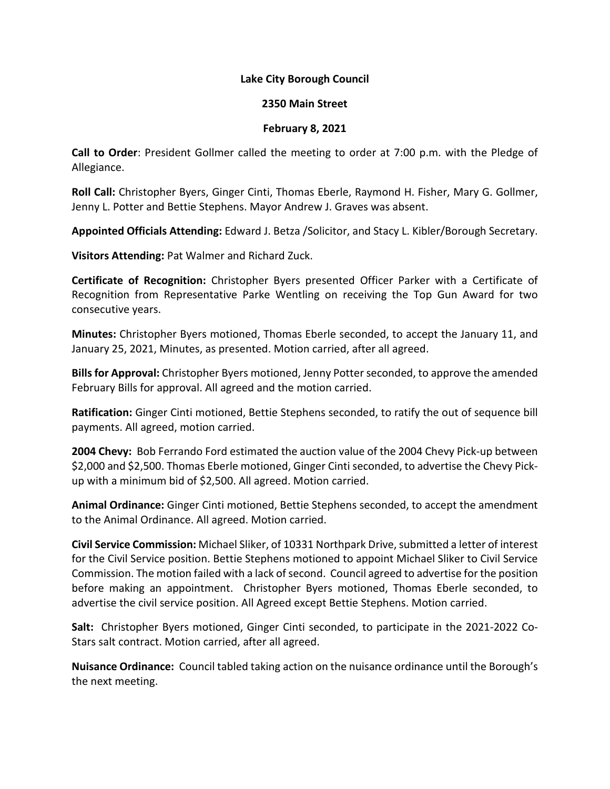## **Lake City Borough Council**

## **2350 Main Street**

## **February 8, 2021**

**Call to Order**: President Gollmer called the meeting to order at 7:00 p.m. with the Pledge of Allegiance.

**Roll Call:** Christopher Byers, Ginger Cinti, Thomas Eberle, Raymond H. Fisher, Mary G. Gollmer, Jenny L. Potter and Bettie Stephens. Mayor Andrew J. Graves was absent.

**Appointed Officials Attending:** Edward J. Betza /Solicitor, and Stacy L. Kibler/Borough Secretary.

**Visitors Attending:** Pat Walmer and Richard Zuck.

**Certificate of Recognition:** Christopher Byers presented Officer Parker with a Certificate of Recognition from Representative Parke Wentling on receiving the Top Gun Award for two consecutive years.

**Minutes:** Christopher Byers motioned, Thomas Eberle seconded, to accept the January 11, and January 25, 2021, Minutes, as presented. Motion carried, after all agreed.

**Bills for Approval:** Christopher Byers motioned, Jenny Potterseconded, to approve the amended February Bills for approval. All agreed and the motion carried.

**Ratification:** Ginger Cinti motioned, Bettie Stephens seconded, to ratify the out of sequence bill payments. All agreed, motion carried.

**2004 Chevy:** Bob Ferrando Ford estimated the auction value of the 2004 Chevy Pick-up between \$2,000 and \$2,500. Thomas Eberle motioned, Ginger Cinti seconded, to advertise the Chevy Pickup with a minimum bid of \$2,500. All agreed. Motion carried.

**Animal Ordinance:** Ginger Cinti motioned, Bettie Stephens seconded, to accept the amendment to the Animal Ordinance. All agreed. Motion carried.

**Civil Service Commission:** Michael Sliker, of 10331 Northpark Drive,submitted a letter of interest for the Civil Service position. Bettie Stephens motioned to appoint Michael Sliker to Civil Service Commission. The motion failed with a lack of second. Council agreed to advertise for the position before making an appointment. Christopher Byers motioned, Thomas Eberle seconded, to advertise the civil service position. All Agreed except Bettie Stephens. Motion carried.

**Salt:** Christopher Byers motioned, Ginger Cinti seconded, to participate in the 2021-2022 Co-Stars salt contract. Motion carried, after all agreed.

**Nuisance Ordinance:** Council tabled taking action on the nuisance ordinance until the Borough's the next meeting.